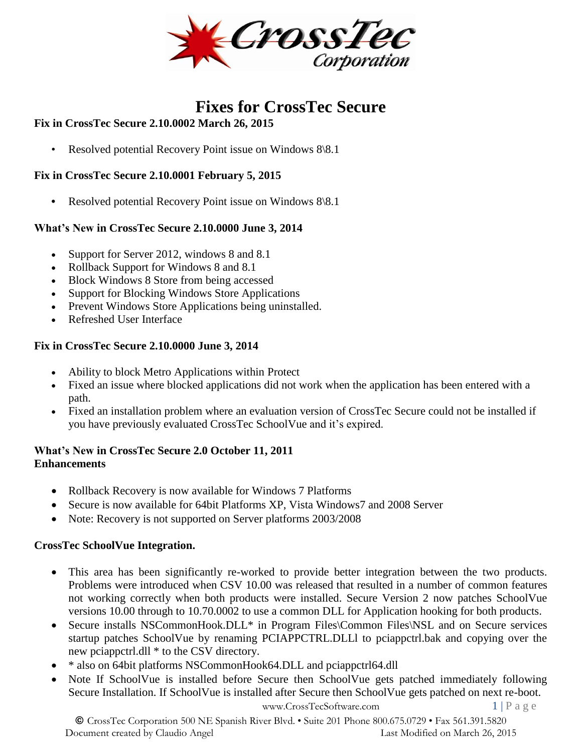

# **Fixes for CrossTec Secure**

# **Fix in CrossTec Secure 2.10.0002 March 26, 2015**

• Resolved potential Recovery Point issue on Windows 8\8.1

#### **Fix in CrossTec Secure 2.10.0001 February 5, 2015**

**•** Resolved potential Recovery Point issue on Windows 8\8.1

#### **What's New in CrossTec Secure 2.10.0000 June 3, 2014**

- Support for Server 2012, windows 8 and 8.1
- Rollback Support for Windows 8 and 8.1
- Block Windows 8 Store from being accessed
- Support for Blocking Windows Store Applications
- Prevent Windows Store Applications being uninstalled.
- Refreshed User Interface

#### **Fix in CrossTec Secure 2.10.0000 June 3, 2014**

- Ability to block Metro Applications within Protect
- Fixed an issue where blocked applications did not work when the application has been entered with a path.
- Fixed an installation problem where an evaluation version of CrossTec Secure could not be installed if you have previously evaluated CrossTec SchoolVue and it's expired.

#### **What's New in CrossTec Secure 2.0 October 11, 2011 Enhancements**

- Rollback Recovery is now available for Windows 7 Platforms
- Secure is now available for 64bit Platforms XP, Vista Windows7 and 2008 Server
- Note: Recovery is not supported on Server platforms 2003/2008

#### **CrossTec SchoolVue Integration.**

- This area has been significantly re-worked to provide better integration between the two products. Problems were introduced when CSV 10.00 was released that resulted in a number of common features not working correctly when both products were installed. Secure Version 2 now patches SchoolVue versions 10.00 through to 10.70.0002 to use a common DLL for Application hooking for both products.
- Secure installs NSCommonHook.DLL\* in Program Files\Common Files\NSL and on Secure services startup patches SchoolVue by renaming PCIAPPCTRL.DLLl to pciappctrl.bak and copying over the new pciappctrl.dll \* to the CSV directory.
- \* also on 64bit platforms NSCommonHook64.DLL and pciappctrl64.dll
- Note If SchoolVue is installed before Secure then SchoolVue gets patched immediately following Secure Installation. If SchoolVue is installed after Secure then SchoolVue gets patched on next re-boot.

[www.CrossTecSoftware.com](http://www.crosstecsoftware.com/) 1 | P a g e

© CrossTec Corporation 500 NE Spanish River Blvd. • Suite 201 Phone 800.675.0729 • Fax 561.391.5820 Document created by Claudio Angel Last Modified on March 26, 2015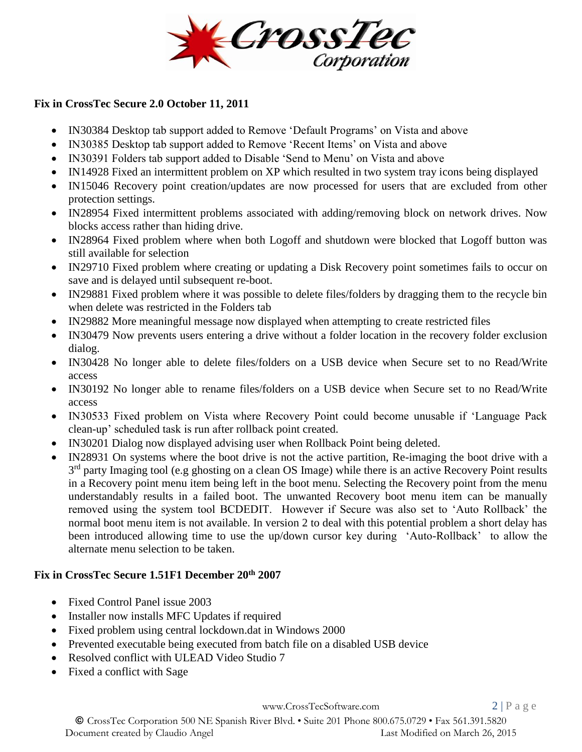

#### **Fix in CrossTec Secure 2.0 October 11, 2011**

- IN30384 Desktop tab support added to Remove 'Default Programs' on Vista and above
- IN30385 Desktop tab support added to Remove 'Recent Items' on Vista and above
- IN30391 Folders tab support added to Disable 'Send to Menu' on Vista and above
- IN14928 Fixed an intermittent problem on XP which resulted in two system tray icons being displayed
- IN15046 Recovery point creation/updates are now processed for users that are excluded from other protection settings.
- IN28954 Fixed intermittent problems associated with adding/removing block on network drives. Now blocks access rather than hiding drive.
- IN28964 Fixed problem where when both Logoff and shutdown were blocked that Logoff button was still available for selection
- IN29710 Fixed problem where creating or updating a Disk Recovery point sometimes fails to occur on save and is delayed until subsequent re-boot.
- IN29881 Fixed problem where it was possible to delete files/folders by dragging them to the recycle bin when delete was restricted in the Folders tab
- IN29882 More meaningful message now displayed when attempting to create restricted files
- IN30479 Now prevents users entering a drive without a folder location in the recovery folder exclusion dialog.
- IN30428 No longer able to delete files/folders on a USB device when Secure set to no Read/Write access
- IN30192 No longer able to rename files/folders on a USB device when Secure set to no Read/Write access
- IN30533 Fixed problem on Vista where Recovery Point could become unusable if 'Language Pack clean-up' scheduled task is run after rollback point created.
- IN30201 Dialog now displayed advising user when Rollback Point being deleted.
- IN28931 On systems where the boot drive is not the active partition, Re-imaging the boot drive with a 3<sup>rd</sup> party Imaging tool (e.g ghosting on a clean OS Image) while there is an active Recovery Point results in a Recovery point menu item being left in the boot menu. Selecting the Recovery point from the menu understandably results in a failed boot. The unwanted Recovery boot menu item can be manually removed using the system tool BCDEDIT. However if Secure was also set to 'Auto Rollback' the normal boot menu item is not available. In version 2 to deal with this potential problem a short delay has been introduced allowing time to use the up/down cursor key during 'Auto-Rollback' to allow the alternate menu selection to be taken.

# **Fix in CrossTec Secure 1.51F1 December 20th 2007**

- Fixed Control Panel issue 2003
- Installer now installs MFC Updates if required
- Fixed problem using central lockdown.dat in Windows 2000
- Prevented executable being executed from batch file on a disabled USB device
- Resolved conflict with ULEAD Video Studio 7
- Fixed a conflict with Sage